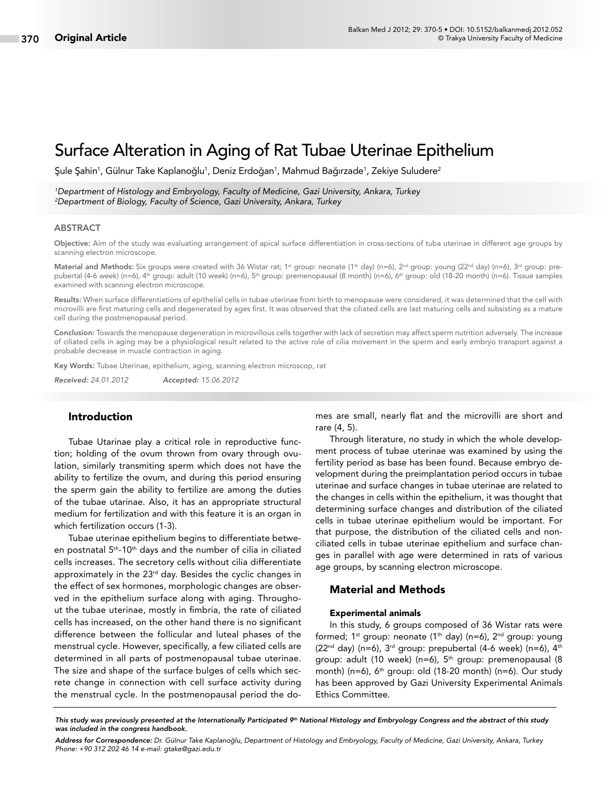# Surface Alteration in Aging of Rat Tubae Uterinae Epithelium

Şule Şahin<sup>1</sup>, Gülnur Take Kaplanoğlu<sup>1</sup>, Deniz Erdoğan<sup>1</sup>, Mahmud Bağırzade<sup>1</sup>, Zekiye Suludere<sup>2</sup>

*1 Department of Histology and Embryology, Faculty of Medicine, Gazi University, Ankara, Turkey 2 Department of Biology, Faculty of Science, Gazi University, Ankara, Turkey*

#### ABSTRACT

Objective: Aim of the study was evaluating arrangement of apical surface differentiation in cross-sections of tuba uterinae in different age groups by scanning electron microscope.

Material and Methods: Six groups were created with 36 Wistar rat; 1<sup>st</sup> group: neonate (1<sup>th</sup> day) (n=6), 2<sup>nd</sup> group: group: quequed ay) (n=6), 3<sup>rd</sup> group: prepubertal (4-6 week) (n=6), 4<sup>th</sup> group: adult (10 week) (n=6), 5<sup>th</sup> group: premenopausal (8 month) (n=6), 6<sup>th</sup> group: old (18-20 month) (n=6). Tissue samples examined with scanning electron microscope.

Results: When surface differentiations of epithelial cells in tubae uterinae from birth to menopause were considered, it was determined that the cell with microvilli are first maturing cells and degenerated by ages first. It was observed that the ciliated cells are last maturing cells and subsisting as a mature cell during the postmenopausal period.

Conclusion: Towards the menopause degeneration in microvillous cells together with lack of secretion may affect sperm nutrition adversely. The increase of ciliated cells in aging may be a physiological result related to the active role of cilia movement in the sperm and early embryo transport against a probable decrease in muscle contraction in aging.

Key Words: Tubae Uterinae, epithelium, aging, scanning electron microscop, rat

*Received: 24.01.2012 Accepted: 15.06.2012*

# Introduction

Tubae Utarinae play a critical role in reproductive function; holding of the ovum thrown from ovary through ovulation, similarly transmiting sperm which does not have the ability to fertilize the ovum, and during this period ensuring the sperm gain the ability to fertilize are among the duties of the tubae utarinae. Also, it has an appropriate structural medium for fertilization and with this feature it is an organ in which fertilization occurs (1-3).

Tubae uterinae epithelium begins to differentiate between postnatal 5<sup>th</sup>-10<sup>th</sup> days and the number of cilia in ciliated cells increases. The secretory cells without cilia differentiate approximately in the  $23<sup>rd</sup>$  day. Besides the cyclic changes in the effect of sex hormones, morphologic changes are observed in the epithelium surface along with aging. Throughout the tubae uterinae, mostly in fimbria, the rate of ciliated cells has increased, on the other hand there is no significant difference between the follicular and luteal phases of the menstrual cycle. However, specifically, a few ciliated cells are determined in all parts of postmenopausal tubae uterinae. The size and shape of the surface bulges of cells which secrete change in connection with cell surface activity during the menstrual cycle. In the postmenopausal period the domes are small, nearly flat and the microvilli are short and rare (4, 5).

Through literature, no study in which the whole development process of tubae uterinae was examined by using the fertility period as base has been found. Because embryo development during the preimplantation period occurs in tubae uterinae and surface changes in tubae uterinae are related to the changes in cells within the epithelium, it was thought that determining surface changes and distribution of the ciliated cells in tubae uterinae epithelium would be important. For that purpose, the distribution of the ciliated cells and nonciliated cells in tubae uterinae epithelium and surface changes in parallel with age were determined in rats of various age groups, by scanning electron microscope.

## Material and Methods

#### Experimental animals

In this study, 6 groups composed of 36 Wistar rats were formed; 1<sup>st</sup> group: neonate (1<sup>th</sup> day) (n=6), 2<sup>nd</sup> group: young (22<sup>nd</sup> day) (n=6), 3<sup>rd</sup> group: prepubertal (4-6 week) (n=6), 4<sup>th</sup> group: adult (10 week) (n=6), 5<sup>th</sup> group: premenopausal (8 month) (n=6),  $6<sup>th</sup>$  group: old (18-20 month) (n=6). Our study has been approved by Gazi University Experimental Animals Ethics Committee.

*This study was previously presented at the Internationally Participated 9th National Histology and Embryology Congress and the abstract of this study was included in the congress handbook.*

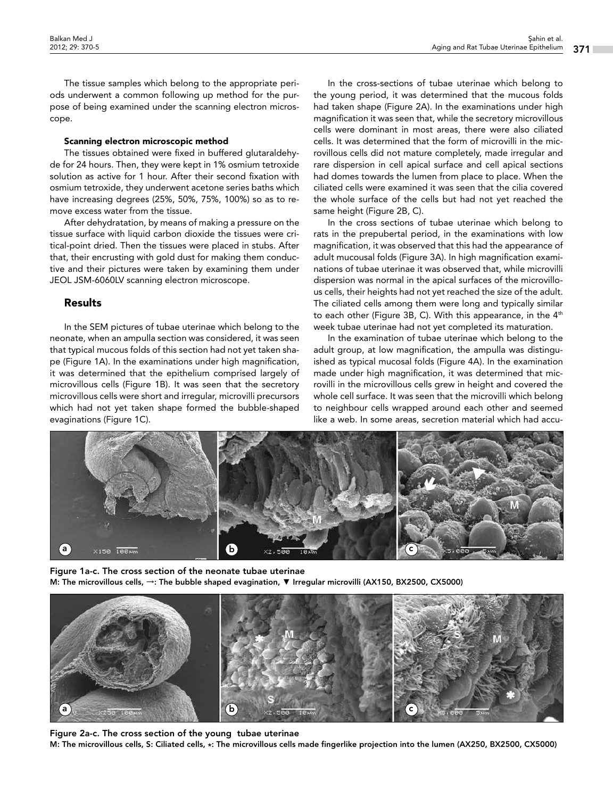The tissue samples which belong to the appropriate periods underwent a common following up method for the purpose of being examined under the scanning electron microscope.

#### Scanning electron microscopic method

The tissues obtained were fixed in buffered glutaraldehyde for 24 hours. Then, they were kept in 1% osmium tetroxide solution as active for 1 hour. After their second fixation with osmium tetroxide, they underwent acetone series baths which have increasing degrees (25%, 50%, 75%, 100%) so as to remove excess water from the tissue.

After dehydratation, by means of making a pressure on the tissue surface with liquid carbon dioxide the tissues were critical-point dried. Then the tissues were placed in stubs. After that, their encrusting with gold dust for making them conductive and their pictures were taken by examining them under JEOL JSM-6060LV scanning electron microscope.

## Results

In the SEM pictures of tubae uterinae which belong to the neonate, when an ampulla section was considered, it was seen that typical mucous folds of this section had not yet taken shape (Figure 1A). In the examinations under high magnification, it was determined that the epithelium comprised largely of microvillous cells (Figure 1B). It was seen that the secretory microvillous cells were short and irregular, microvilli precursors which had not yet taken shape formed the bubble-shaped evaginations (Figure 1C).

In the cross-sections of tubae uterinae which belong to the young period, it was determined that the mucous folds had taken shape (Figure 2A). In the examinations under high magnification it was seen that, while the secretory microvillous cells were dominant in most areas, there were also ciliated cells. It was determined that the form of microvilli in the microvillous cells did not mature completely, made irregular and rare dispersion in cell apical surface and cell apical sections had domes towards the lumen from place to place. When the ciliated cells were examined it was seen that the cilia covered the whole surface of the cells but had not yet reached the same height (Figure 2B, C).

In the cross sections of tubae uterinae which belong to rats in the prepubertal period, in the examinations with low magnification, it was observed that this had the appearance of adult mucousal folds (Figure 3A). In high magnification examinations of tubae uterinae it was observed that, while microvilli dispersion was normal in the apical surfaces of the microvillous cells, their heights had not yet reached the size of the adult. The ciliated cells among them were long and typically similar to each other (Figure 3B, C). With this appearance, in the 4<sup>th</sup> week tubae uterinae had not yet completed its maturation.

In the examination of tubae uterinae which belong to the adult group, at low magnification, the ampulla was distinguished as typical mucosal folds (Figure 4A). In the examination made under high magnification, it was determined that microvilli in the microvillous cells grew in height and covered the whole cell surface. It was seen that the microvilli which belong to neighbour cells wrapped around each other and seemed like a web. In some areas, secretion material which had accu-



Figure 1a-c. The cross section of the neonate tubae uterinae M: The microvillous cells, →: The bubble shaped evagination, ▼ Irregular microvilli (AX150, BX2500, CX5000)



Figure 2a-c. The cross section of the young tubae uterinae M: The microvillous cells, S: Ciliated cells, \*: The microvillous cells made fingerlike projection into the lumen (AX250, BX2500, CX5000)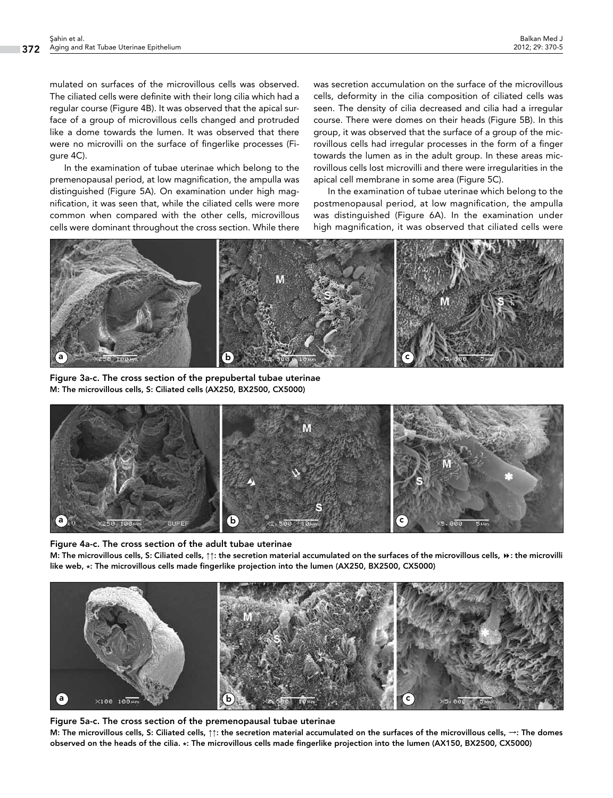mulated on surfaces of the microvillous cells was observed. The ciliated cells were definite with their long cilia which had a regular course (Figure 4B). It was observed that the apical surface of a group of microvillous cells changed and protruded like a dome towards the lumen. It was observed that there were no microvilli on the surface of fingerlike processes (Figure 4C).

In the examination of tubae uterinae which belong to the premenopausal period, at low magnification, the ampulla was distinguished (Figure 5A). On examination under high magnification, it was seen that, while the ciliated cells were more common when compared with the other cells, microvillous cells were dominant throughout the cross section. While there

was secretion accumulation on the surface of the microvillous cells, deformity in the cilia composition of ciliated cells was seen. The density of cilia decreased and cilia had a irregular course. There were domes on their heads (Figure 5B). In this group, it was observed that the surface of a group of the microvillous cells had irregular processes in the form of a finger towards the lumen as in the adult group. In these areas microvillous cells lost microvilli and there were irregularities in the apical cell membrane in some area (Figure 5C).

In the examination of tubae uterinae which belong to the postmenopausal period, at low magnification, the ampulla was distinguished (Figure 6A). In the examination under high magnification, it was observed that ciliated cells were



Figure 3a-c. The cross section of the prepubertal tubae uterinae M: The microvillous cells, S: Ciliated cells (AX250, BX2500, CX5000)



#### Figure 4a-c. The cross section of the adult tubae uterinae

M: The microvillous cells, S: Ciliated cells, ↑↑: the secretion material accumulated on the surfaces of the microvillous cells, »: the microvilli like web, \*: The microvillous cells made fingerlike projection into the lumen (AX250, BX2500, CX5000)



## Figure 5a-c. The cross section of the premenopausal tubae uterinae

M: The microvillous cells, S: Ciliated cells,  $\uparrow\uparrow$ : the secretion material accumulated on the surfaces of the microvillous cells, →: The domes observed on the heads of the cilia. \*: The microvillous cells made fingerlike projection into the lumen (AX150, BX2500, CX5000)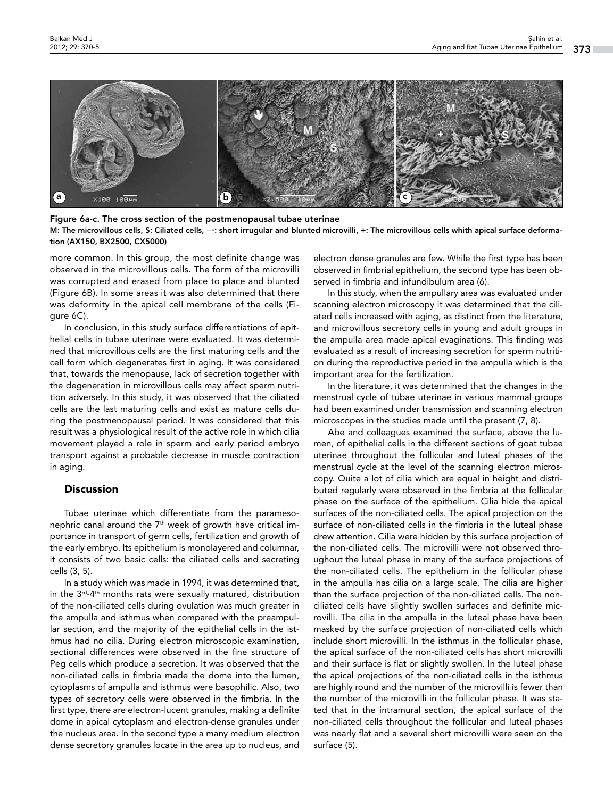

Figure 6a-c. The cross section of the postmenopausal tubae uterinae M: The microvillous cells, S: Ciliated cells, →: short irrugular and blunted microvilli, +: The microvillous cells whith apical surface deformation (AX150, BX2500, CX5000)

more common. In this group, the most definite change was observed in the microvillous cells. The form of the microvilli was corrupted and erased from place to place and blunted (Figure 6B). In some areas it was also determined that there was deformity in the apical cell membrane of the cells (Figure 6C).

In conclusion, in this study surface differentiations of epithelial cells in tubae uterinae were evaluated. It was determined that microvillous cells are the first maturing cells and the cell form which degenerates first in aging. It was considered that, towards the menopause, lack of secretion together with the degeneration in microvillous cells may affect sperm nutrition adversely. In this study, it was observed that the ciliated cells are the last maturing cells and exist as mature cells during the postmenopausal period. It was considered that this result was a physiological result of the active role in which cilia movement played a role in sperm and early period embryo transport against a probable decrease in muscle contraction in aging.

## **Discussion**

Tubae uterinae which differentiate from the paramesonephric canal around the  $7<sup>th</sup>$  week of growth have critical importance in transport of germ cells, fertilization and growth of the early embryo. Its epithelium is monolayered and columnar, it consists of two basic cells: the ciliated cells and secreting cells (3, 5).

In a study which was made in 1994, it was determined that, in the 3<sup>rd</sup>-4<sup>th</sup> months rats were sexually matured, distribution of the non-ciliated cells during ovulation was much greater in the ampulla and isthmus when compared with the preampullar section, and the majority of the epithelial cells in the isthmus had no cilia. During electron microscopic examination, sectional differences were observed in the fine structure of Peg cells which produce a secretion. It was observed that the non-ciliated cells in fimbria made the dome into the lumen, cytoplasms of ampulla and isthmus were basophilic. Also, two types of secretory cells were observed in the fimbria. In the first type, there are electron-lucent granules, making a definite dome in apical cytoplasm and electron-dense granules under the nucleus area. In the second type a many medium electron dense secretory granules locate in the area up to nucleus, and

electron dense granules are few. While the first type has been observed in fimbrial epithelium, the second type has been observed in fimbria and infundibulum area (6).

In this study, when the ampullary area was evaluated under scanning electron microscopy it was determined that the ciliated cells increased with aging, as distinct from the literature, and microvillous secretory cells in young and adult groups in the ampulla area made apical evaginations. This finding was evaluated as a result of increasing secretion for sperm nutrition during the reproductive period in the ampulla which is the important area for the fertilization.

In the literature, it was determined that the changes in the menstrual cycle of tubae uterinae in various mammal groups had been examined under transmission and scanning electron microscopes in the studies made until the present (7, 8).

Abe and colleagues examined the surface, above the lumen, of epithelial cells in the different sections of goat tubae uterinae throughout the follicular and luteal phases of the menstrual cycle at the level of the scanning electron microscopy. Quite a lot of cilia which are equal in height and distributed regularly were observed in the fimbria at the follicular phase on the surface of the epithelium. Cilia hide the apical surfaces of the non-ciliated cells. The apical projection on the surface of non-ciliated cells in the fimbria in the luteal phase drew attention. Cilia were hidden by this surface projection of the non-ciliated cells. The microvilli were not observed throughout the luteal phase in many of the surface projections of the non-ciliated cells. The epithelium in the follicular phase in the ampulla has cilia on a large scale. The cilia are higher than the surface projection of the non-ciliated cells. The nonciliated cells have slightly swollen surfaces and definite microvilli. The cilia in the ampulla in the luteal phase have been masked by the surface projection of non-ciliated cells which include short microvilli. In the isthmus in the follicular phase, the apical surface of the non-ciliated cells has short microvilli and their surface is flat or slightly swollen. In the luteal phase the apical projections of the non-ciliated cells in the isthmus are highly round and the number of the microvilli is fewer than the number of the microvilli in the follicular phase. It was stated that in the intramural section, the apical surface of the non-ciliated cells throughout the follicular and luteal phases was nearly flat and a several short microvilli were seen on the surface (5).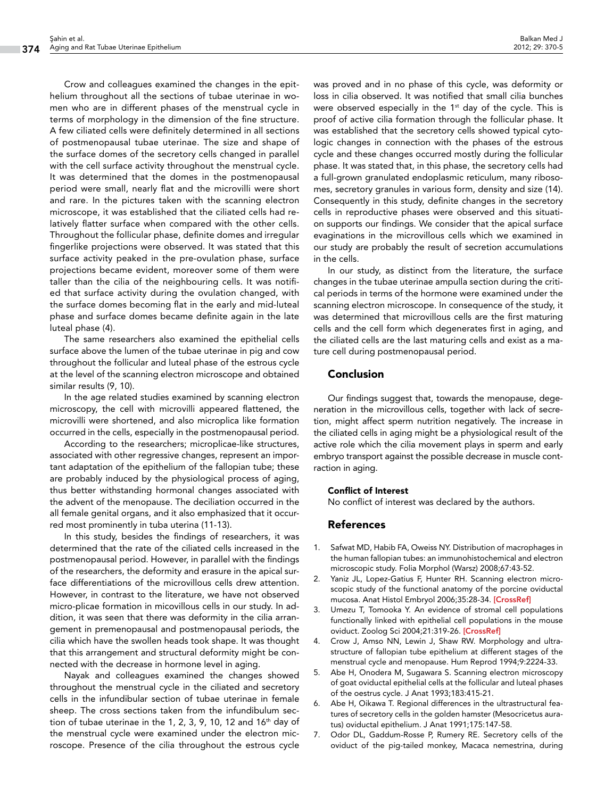Crow and colleagues examined the changes in the epithelium throughout all the sections of tubae uterinae in women who are in different phases of the menstrual cycle in terms of morphology in the dimension of the fine structure. A few ciliated cells were definitely determined in all sections of postmenopausal tubae uterinae. The size and shape of the surface domes of the secretory cells changed in parallel with the cell surface activity throughout the menstrual cycle. It was determined that the domes in the postmenopausal period were small, nearly flat and the microvilli were short and rare. In the pictures taken with the scanning electron microscope, it was established that the ciliated cells had relatively flatter surface when compared with the other cells. Throughout the follicular phase, definite domes and irregular fingerlike projections were observed. It was stated that this surface activity peaked in the pre-ovulation phase, surface projections became evident, moreover some of them were taller than the cilia of the neighbouring cells. It was notified that surface activity during the ovulation changed, with the surface domes becoming flat in the early and mid-luteal phase and surface domes became definite again in the late luteal phase (4).

The same researchers also examined the epithelial cells surface above the lumen of the tubae uterinae in pig and cow throughout the follicular and luteal phase of the estrous cycle at the level of the scanning electron microscope and obtained similar results (9, 10).

In the age related studies examined by scanning electron microscopy, the cell with microvilli appeared flattened, the microvilli were shortened, and also microplica like formation occurred in the cells, especially in the postmenopausal period.

According to the researchers; microplicae-like structures, associated with other regressive changes, represent an important adaptation of the epithelium of the fallopian tube; these are probably induced by the physiological process of aging, thus better withstanding hormonal changes associated with the advent of the menopause. The deciliation occurred in the all female genital organs, and it also emphasized that it occurred most prominently in tuba uterina (11-13).

In this study, besides the findings of researchers, it was determined that the rate of the ciliated cells increased in the postmenopausal period. However, in parallel with the findings of the researchers, the deformity and erasure in the apical surface differentiations of the microvillous cells drew attention. However, in contrast to the literature, we have not observed micro-plicae formation in micovillous cells in our study. In addition, it was seen that there was deformity in the cilia arrangement in premenopausal and postmenopausal periods, the cilia which have the swollen heads took shape. It was thought that this arrangement and structural deformity might be connected with the decrease in hormone level in aging.

Nayak and colleagues examined the changes showed throughout the menstrual cycle in the ciliated and secretory cells in the infundibular section of tubae uterinae in female sheep. The cross sections taken from the infundibulum section of tubae uterinae in the 1, 2, 3, 9, 10, 12 and  $16<sup>th</sup>$  day of the menstrual cycle were examined under the electron microscope. Presence of the cilia throughout the estrous cycle

was proved and in no phase of this cycle, was deformity or loss in cilia observed. It was notified that small cilia bunches were observed especially in the 1<sup>st</sup> day of the cycle. This is proof of active cilia formation through the follicular phase. It was established that the secretory cells showed typical cytologic changes in connection with the phases of the estrous cycle and these changes occurred mostly during the follicular phase. It was stated that, in this phase, the secretory cells had a full-grown granulated endoplasmic reticulum, many ribosomes, secretory granules in various form, density and size (14). Consequently in this study, definite changes in the secretory cells in reproductive phases were observed and this situation supports our findings. We consider that the apical surface evaginations in the microvillous cells which we examined in our study are probably the result of secretion accumulations in the cells.

In our study, as distinct from the literature, the surface changes in the tubae uterinae ampulla section during the critical periods in terms of the hormone were examined under the scanning electron microscope. In consequence of the study, it was determined that microvillous cells are the first maturing cells and the cell form which degenerates first in aging, and the ciliated cells are the last maturing cells and exist as a mature cell during postmenopausal period.

# Conclusion

Our findings suggest that, towards the menopause, degeneration in the microvillous cells, together with lack of secretion, might affect sperm nutrition negatively. The increase in the ciliated cells in aging might be a physiological result of the active role which the cilia movement plays in sperm and early embryo transport against the possible decrease in muscle contraction in aging.

## Conflict of Interest

No conflict of interest was declared by the authors.

## References

- 1. Safwat MD, Habib FA, Oweiss NY. Distribution of macrophages in the human fallopian tubes: an immunohistochemical and electron microscopic study. Folia Morphol (Warsz) 2008;67:43-52.
- 2. Yaniz JL, Lopez-Gatius F, Hunter RH. Scanning electron microscopic study of the functional anatomy of the porcine oviductal mucosa. Anat Histol Embryol 2006;35:28-34. [\[CrossRef\]](http://dx.doi.org/10.1111/j.1439-0264.2005.00634.x)
- 3. Umezu T, Tomooka Y. An evidence of stromal cell populations functionally linked with epithelial cell populations in the mouse oviduct. Zoolog Sci 2004;21:319-26. [[CrossRef\]](http://dx.doi.org/10.2108/zsj.21.319)
- 4. Crow J, Amso NN, Lewin J, Shaw RW. Morphology and ultrastructure of fallopian tube epithelium at different stages of the menstrual cycle and menopause. Hum Reprod 1994;9:2224-33.
- 5. Abe H, Onodera M, Sugawara S. Scanning electron microscopy of goat oviductal epithelial cells at the follicular and luteal phases of the oestrus cycle. J Anat 1993;183:415-21.
- 6. Abe H, Oikawa T. Regional differences in the ultrastructural features of secretory cells in the golden hamster (Mesocricetus auratus) oviductal epithelium. J Anat 1991;175:147-58.
- 7. Odor DL, Gaddum-Rosse P, Rumery RE. Secretory cells of the oviduct of the pig-tailed monkey, Macaca nemestrina, during